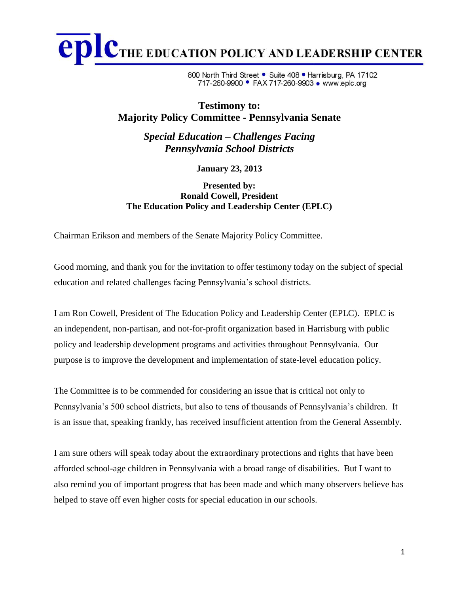CTHE EDUCATION POLICY AND LEADERSHIP CENTER epl

> 800 North Third Street • Suite 408 • Harrisburg, PA 17102 717-260-9900 • FAX 717-260-9903 • www.eplc.org

## **Testimony to: Majority Policy Committee - Pennsylvania Senate**

*Special Education – Challenges Facing Pennsylvania School Districts*

**January 23, 2013**

**Presented by: Ronald Cowell, President The Education Policy and Leadership Center (EPLC)**

Chairman Erikson and members of the Senate Majority Policy Committee.

Good morning, and thank you for the invitation to offer testimony today on the subject of special education and related challenges facing Pennsylvania's school districts.

I am Ron Cowell, President of The Education Policy and Leadership Center (EPLC). EPLC is an independent, non-partisan, and not-for-profit organization based in Harrisburg with public policy and leadership development programs and activities throughout Pennsylvania. Our purpose is to improve the development and implementation of state-level education policy.

The Committee is to be commended for considering an issue that is critical not only to Pennsylvania's 500 school districts, but also to tens of thousands of Pennsylvania's children. It is an issue that, speaking frankly, has received insufficient attention from the General Assembly.

I am sure others will speak today about the extraordinary protections and rights that have been afforded school-age children in Pennsylvania with a broad range of disabilities. But I want to also remind you of important progress that has been made and which many observers believe has helped to stave off even higher costs for special education in our schools.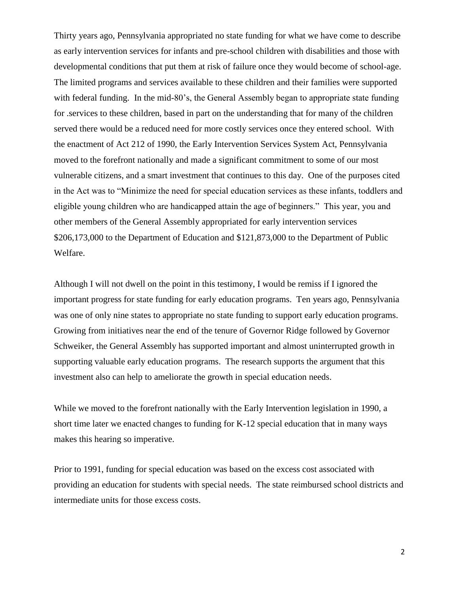Thirty years ago, Pennsylvania appropriated no state funding for what we have come to describe as early intervention services for infants and pre-school children with disabilities and those with developmental conditions that put them at risk of failure once they would become of school-age. The limited programs and services available to these children and their families were supported with federal funding. In the mid-80's, the General Assembly began to appropriate state funding for .services to these children, based in part on the understanding that for many of the children served there would be a reduced need for more costly services once they entered school. With the enactment of Act 212 of 1990, the Early Intervention Services System Act, Pennsylvania moved to the forefront nationally and made a significant commitment to some of our most vulnerable citizens, and a smart investment that continues to this day. One of the purposes cited in the Act was to "Minimize the need for special education services as these infants, toddlers and eligible young children who are handicapped attain the age of beginners." This year, you and other members of the General Assembly appropriated for early intervention services \$206,173,000 to the Department of Education and \$121,873,000 to the Department of Public Welfare.

Although I will not dwell on the point in this testimony, I would be remiss if I ignored the important progress for state funding for early education programs. Ten years ago, Pennsylvania was one of only nine states to appropriate no state funding to support early education programs. Growing from initiatives near the end of the tenure of Governor Ridge followed by Governor Schweiker, the General Assembly has supported important and almost uninterrupted growth in supporting valuable early education programs. The research supports the argument that this investment also can help to ameliorate the growth in special education needs.

While we moved to the forefront nationally with the Early Intervention legislation in 1990, a short time later we enacted changes to funding for K-12 special education that in many ways makes this hearing so imperative.

Prior to 1991, funding for special education was based on the excess cost associated with providing an education for students with special needs. The state reimbursed school districts and intermediate units for those excess costs.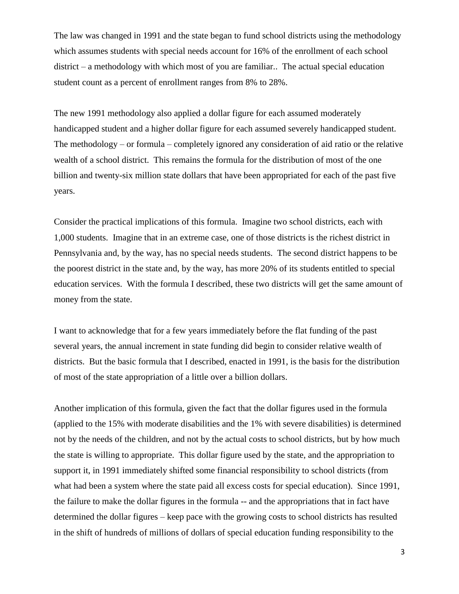The law was changed in 1991 and the state began to fund school districts using the methodology which assumes students with special needs account for 16% of the enrollment of each school district – a methodology with which most of you are familiar.. The actual special education student count as a percent of enrollment ranges from 8% to 28%.

The new 1991 methodology also applied a dollar figure for each assumed moderately handicapped student and a higher dollar figure for each assumed severely handicapped student. The methodology – or formula – completely ignored any consideration of aid ratio or the relative wealth of a school district. This remains the formula for the distribution of most of the one billion and twenty-six million state dollars that have been appropriated for each of the past five years.

Consider the practical implications of this formula. Imagine two school districts, each with 1,000 students. Imagine that in an extreme case, one of those districts is the richest district in Pennsylvania and, by the way, has no special needs students. The second district happens to be the poorest district in the state and, by the way, has more 20% of its students entitled to special education services. With the formula I described, these two districts will get the same amount of money from the state.

I want to acknowledge that for a few years immediately before the flat funding of the past several years, the annual increment in state funding did begin to consider relative wealth of districts. But the basic formula that I described, enacted in 1991, is the basis for the distribution of most of the state appropriation of a little over a billion dollars.

Another implication of this formula, given the fact that the dollar figures used in the formula (applied to the 15% with moderate disabilities and the 1% with severe disabilities) is determined not by the needs of the children, and not by the actual costs to school districts, but by how much the state is willing to appropriate. This dollar figure used by the state, and the appropriation to support it, in 1991 immediately shifted some financial responsibility to school districts (from what had been a system where the state paid all excess costs for special education). Since 1991, the failure to make the dollar figures in the formula -- and the appropriations that in fact have determined the dollar figures – keep pace with the growing costs to school districts has resulted in the shift of hundreds of millions of dollars of special education funding responsibility to the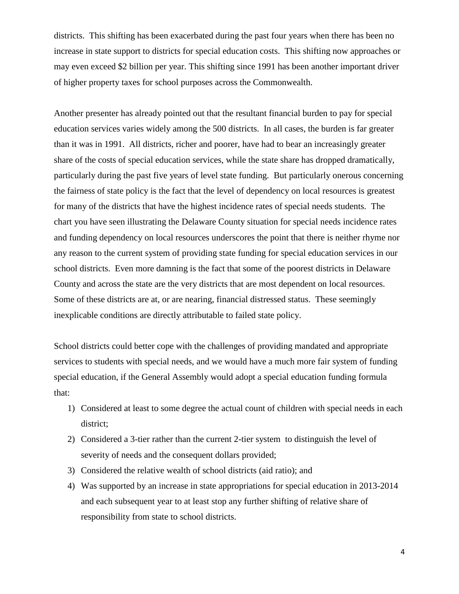districts. This shifting has been exacerbated during the past four years when there has been no increase in state support to districts for special education costs. This shifting now approaches or may even exceed \$2 billion per year. This shifting since 1991 has been another important driver of higher property taxes for school purposes across the Commonwealth.

Another presenter has already pointed out that the resultant financial burden to pay for special education services varies widely among the 500 districts. In all cases, the burden is far greater than it was in 1991. All districts, richer and poorer, have had to bear an increasingly greater share of the costs of special education services, while the state share has dropped dramatically, particularly during the past five years of level state funding. But particularly onerous concerning the fairness of state policy is the fact that the level of dependency on local resources is greatest for many of the districts that have the highest incidence rates of special needs students. The chart you have seen illustrating the Delaware County situation for special needs incidence rates and funding dependency on local resources underscores the point that there is neither rhyme nor any reason to the current system of providing state funding for special education services in our school districts. Even more damning is the fact that some of the poorest districts in Delaware County and across the state are the very districts that are most dependent on local resources. Some of these districts are at, or are nearing, financial distressed status. These seemingly inexplicable conditions are directly attributable to failed state policy.

School districts could better cope with the challenges of providing mandated and appropriate services to students with special needs, and we would have a much more fair system of funding special education, if the General Assembly would adopt a special education funding formula that:

- 1) Considered at least to some degree the actual count of children with special needs in each district;
- 2) Considered a 3-tier rather than the current 2-tier system to distinguish the level of severity of needs and the consequent dollars provided;
- 3) Considered the relative wealth of school districts (aid ratio); and
- 4) Was supported by an increase in state appropriations for special education in 2013-2014 and each subsequent year to at least stop any further shifting of relative share of responsibility from state to school districts.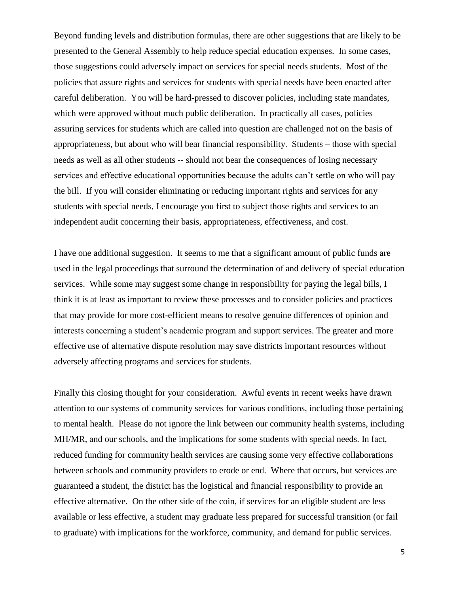Beyond funding levels and distribution formulas, there are other suggestions that are likely to be presented to the General Assembly to help reduce special education expenses. In some cases, those suggestions could adversely impact on services for special needs students. Most of the policies that assure rights and services for students with special needs have been enacted after careful deliberation. You will be hard-pressed to discover policies, including state mandates, which were approved without much public deliberation. In practically all cases, policies assuring services for students which are called into question are challenged not on the basis of appropriateness, but about who will bear financial responsibility. Students – those with special needs as well as all other students -- should not bear the consequences of losing necessary services and effective educational opportunities because the adults can't settle on who will pay the bill. If you will consider eliminating or reducing important rights and services for any students with special needs, I encourage you first to subject those rights and services to an independent audit concerning their basis, appropriateness, effectiveness, and cost.

I have one additional suggestion. It seems to me that a significant amount of public funds are used in the legal proceedings that surround the determination of and delivery of special education services. While some may suggest some change in responsibility for paying the legal bills, I think it is at least as important to review these processes and to consider policies and practices that may provide for more cost-efficient means to resolve genuine differences of opinion and interests concerning a student's academic program and support services. The greater and more effective use of alternative dispute resolution may save districts important resources without adversely affecting programs and services for students.

Finally this closing thought for your consideration. Awful events in recent weeks have drawn attention to our systems of community services for various conditions, including those pertaining to mental health. Please do not ignore the link between our community health systems, including MH/MR, and our schools, and the implications for some students with special needs. In fact, reduced funding for community health services are causing some very effective collaborations between schools and community providers to erode or end. Where that occurs, but services are guaranteed a student, the district has the logistical and financial responsibility to provide an effective alternative. On the other side of the coin, if services for an eligible student are less available or less effective, a student may graduate less prepared for successful transition (or fail to graduate) with implications for the workforce, community, and demand for public services.